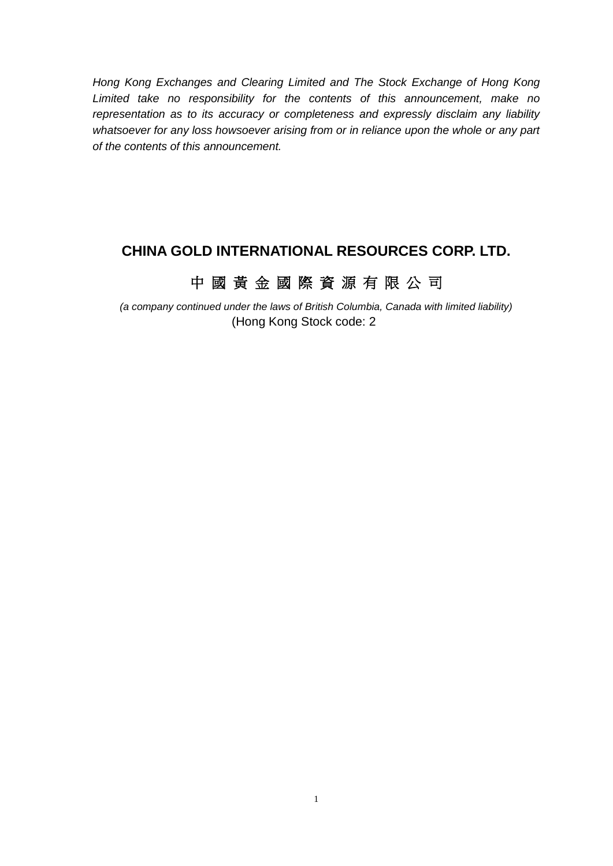*Hong Kong Exchanges and Clearing Limited and The Stock Exchange of Hong Kong Limited take no responsibility for the contents of this announcement, make no representation as to its accuracy or completeness and expressly disclaim any liability whatsoever for any loss howsoever arising from or in reliance upon the whole or any part of the contents of this announcement.*

# **CHINA GOLD INTERNATIONAL RESOURCES CORP. LTD.**

# 中 國 黃 金 國 際 資 源 有 限 公 司

*(a company continued under the laws of British Columbia, Canada with limited liability)* (Hong Kong Stock code: 2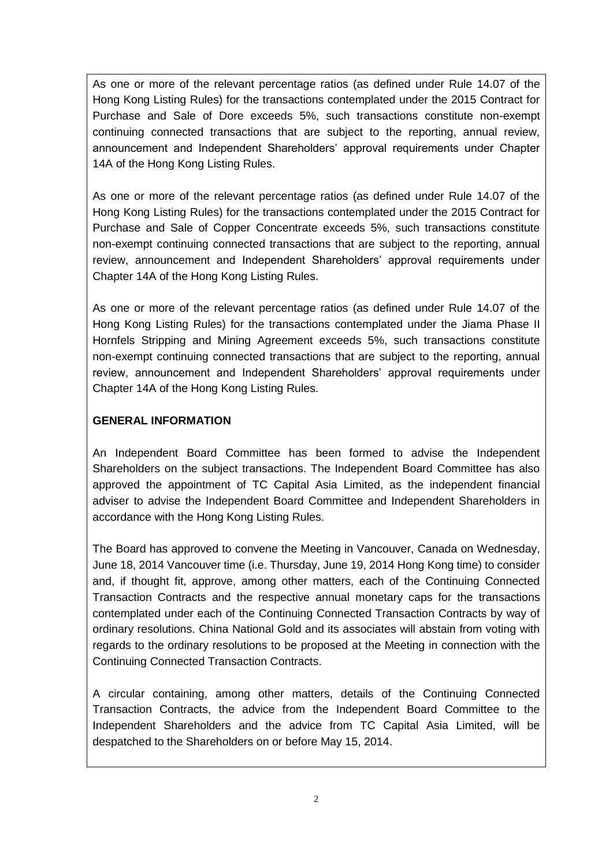As one or more of the relevant percentage ratios (as defined under Rule 14.07 of the Hong Kong Listing Rules) for the transactions contemplated under the 2015 Contract for Purchase and Sale of Dore exceeds 5%, such transactions constitute non-exempt continuing connected transactions that are subject to the reporting, annual review, announcement and Independent Shareholders' approval requirements under Chapter 14A of the Hong Kong Listing Rules.

As one or more of the relevant percentage ratios (as defined under Rule 14.07 of the Hong Kong Listing Rules) for the transactions contemplated under the 2015 Contract for Purchase and Sale of Copper Concentrate exceeds 5%, such transactions constitute non-exempt continuing connected transactions that are subject to the reporting, annual review, announcement and Independent Shareholders' approval requirements under Chapter 14A of the Hong Kong Listing Rules.

As one or more of the relevant percentage ratios (as defined under Rule 14.07 of the Hong Kong Listing Rules) for the transactions contemplated under the Jiama Phase II Hornfels Stripping and Mining Agreement exceeds 5%, such transactions constitute non-exempt continuing connected transactions that are subject to the reporting, annual review, announcement and Independent Shareholders' approval requirements under Chapter 14A of the Hong Kong Listing Rules.

#### **GENERAL INFORMATION**

An Independent Board Committee has been formed to advise the Independent Shareholders on the subject transactions. The Independent Board Committee has also approved the appointment of TC Capital Asia Limited, as the independent financial adviser to advise the Independent Board Committee and Independent Shareholders in accordance with the Hong Kong Listing Rules.

The Board has approved to convene the Meeting in Vancouver, Canada on Wednesday, June 18, 2014 Vancouver time (i.e. Thursday, June 19, 2014 Hong Kong time) to consider and, if thought fit, approve, among other matters, each of the Continuing Connected Transaction Contracts and the respective annual monetary caps for the transactions contemplated under each of the Continuing Connected Transaction Contracts by way of ordinary resolutions. China National Gold and its associates will abstain from voting with regards to the ordinary resolutions to be proposed at the Meeting in connection with the Continuing Connected Transaction Contracts.

A circular containing, among other matters, details of the Continuing Connected Transaction Contracts, the advice from the Independent Board Committee to the Independent Shareholders and the advice from TC Capital Asia Limited, will be despatched to the Shareholders on or before May 15, 2014.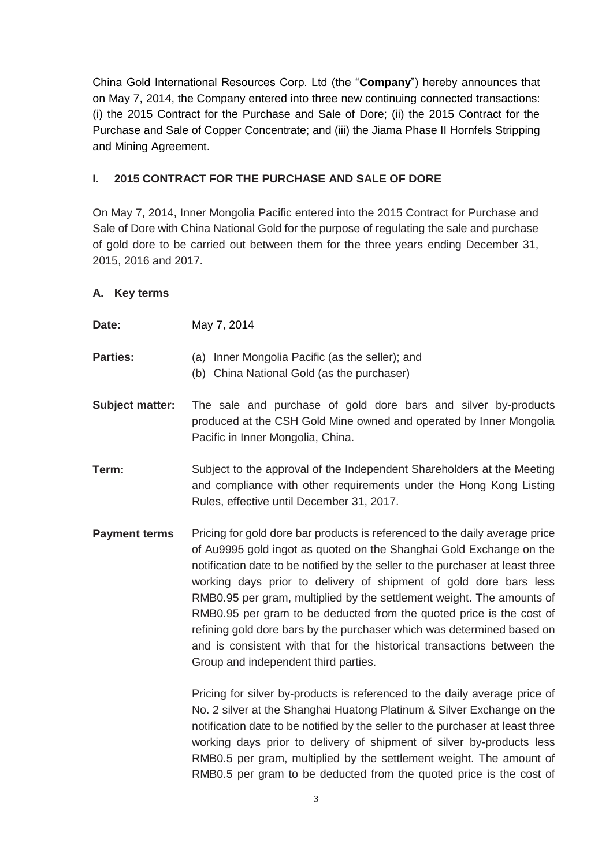China Gold International Resources Corp. Ltd (the "**Company**") hereby announces that on May 7, 2014, the Company entered into three new continuing connected transactions: (i) the 2015 Contract for the Purchase and Sale of Dore; (ii) the 2015 Contract for the Purchase and Sale of Copper Concentrate; and (iii) the Jiama Phase II Hornfels Stripping and Mining Agreement.

#### **I. 2015 CONTRACT FOR THE PURCHASE AND SALE OF DORE**

On May 7, 2014, Inner Mongolia Pacific entered into the 2015 Contract for Purchase and Sale of Dore with China National Gold for the purpose of regulating the sale and purchase of gold dore to be carried out between them for the three years ending December 31, 2015, 2016 and 2017.

#### **A. Key terms**

| Date:                  | May 7, 2014                                                                                                                                                               |
|------------------------|---------------------------------------------------------------------------------------------------------------------------------------------------------------------------|
| <b>Parties:</b>        | (a) Inner Mongolia Pacific (as the seller); and<br>(b) China National Gold (as the purchaser)                                                                             |
| <b>Subject matter:</b> | The sale and purchase of gold dore bars and silver by-products<br>produced at the CSH Gold Mine owned and operated by Inner Mongolia<br>Pacific in Inner Mongolia, China. |

- **Term:** Subject to the approval of the Independent Shareholders at the Meeting and compliance with other requirements under the Hong Kong Listing Rules, effective until December 31, 2017.
- **Payment terms** Pricing for gold dore bar products is referenced to the daily average price of Au9995 gold ingot as quoted on the Shanghai Gold Exchange on the notification date to be notified by the seller to the purchaser at least three working days prior to delivery of shipment of gold dore bars less RMB0.95 per gram, multiplied by the settlement weight. The amounts of RMB0.95 per gram to be deducted from the quoted price is the cost of refining gold dore bars by the purchaser which was determined based on and is consistent with that for the historical transactions between the Group and independent third parties.

Pricing for silver by-products is referenced to the daily average price of No. 2 silver at the Shanghai Huatong Platinum & Silver Exchange on the notification date to be notified by the seller to the purchaser at least three working days prior to delivery of shipment of silver by-products less RMB0.5 per gram, multiplied by the settlement weight. The amount of RMB0.5 per gram to be deducted from the quoted price is the cost of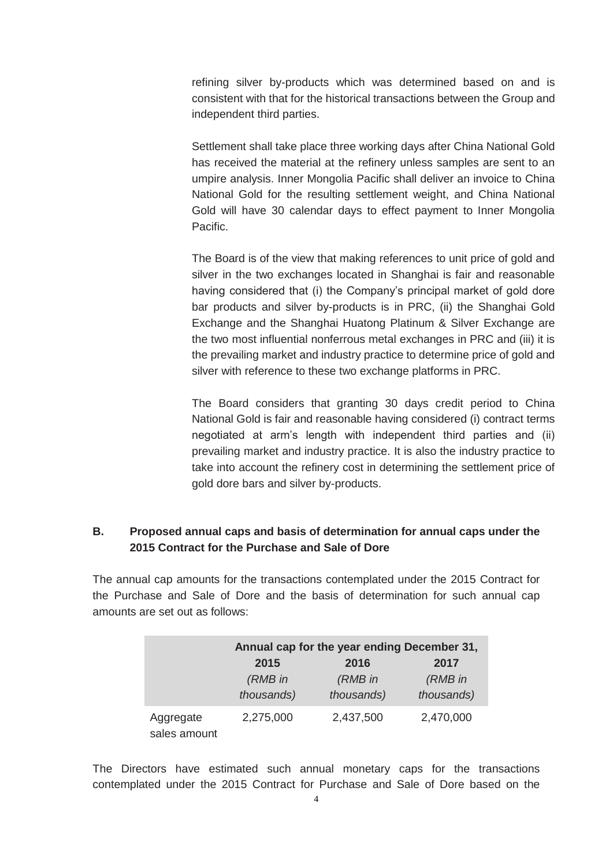refining silver by-products which was determined based on and is consistent with that for the historical transactions between the Group and independent third parties.

Settlement shall take place three working days after China National Gold has received the material at the refinery unless samples are sent to an umpire analysis. Inner Mongolia Pacific shall deliver an invoice to China National Gold for the resulting settlement weight, and China National Gold will have 30 calendar days to effect payment to Inner Mongolia Pacific.

The Board is of the view that making references to unit price of gold and silver in the two exchanges located in Shanghai is fair and reasonable having considered that (i) the Company's principal market of gold dore bar products and silver by-products is in PRC, (ii) the Shanghai Gold Exchange and the Shanghai Huatong Platinum & Silver Exchange are the two most influential nonferrous metal exchanges in PRC and (iii) it is the prevailing market and industry practice to determine price of gold and silver with reference to these two exchange platforms in PRC.

The Board considers that granting 30 days credit period to China National Gold is fair and reasonable having considered (i) contract terms negotiated at arm's length with independent third parties and (ii) prevailing market and industry practice. It is also the industry practice to take into account the refinery cost in determining the settlement price of gold dore bars and silver by-products.

#### **B. Proposed annual caps and basis of determination for annual caps under the 2015 Contract for the Purchase and Sale of Dore**

The annual cap amounts for the transactions contemplated under the 2015 Contract for the Purchase and Sale of Dore and the basis of determination for such annual cap amounts are set out as follows:

|                           | Annual cap for the year ending December 31, |            |            |
|---------------------------|---------------------------------------------|------------|------------|
|                           | 2015                                        | 2016       | 2017       |
|                           | (RMB in                                     | (RMB in    | (RMB in    |
|                           | thousands)                                  | thousands) | thousands) |
| Aggregate<br>sales amount | 2,275,000                                   | 2,437,500  | 2,470,000  |

The Directors have estimated such annual monetary caps for the transactions contemplated under the 2015 Contract for Purchase and Sale of Dore based on the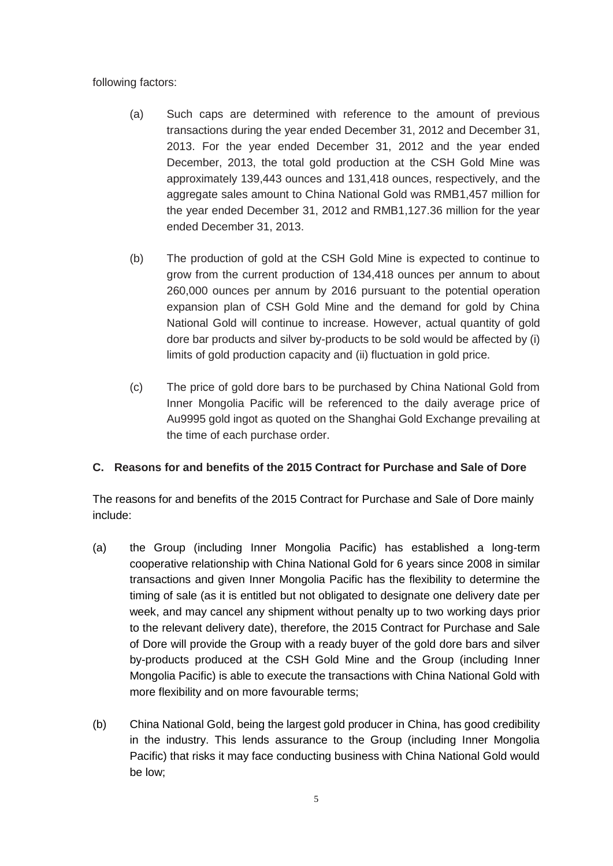following factors:

- (a) Such caps are determined with reference to the amount of previous transactions during the year ended December 31, 2012 and December 31, 2013. For the year ended December 31, 2012 and the year ended December, 2013, the total gold production at the CSH Gold Mine was approximately 139,443 ounces and 131,418 ounces, respectively, and the aggregate sales amount to China National Gold was RMB1,457 million for the year ended December 31, 2012 and RMB1,127.36 million for the year ended December 31, 2013.
- (b) The production of gold at the CSH Gold Mine is expected to continue to grow from the current production of 134,418 ounces per annum to about 260,000 ounces per annum by 2016 pursuant to the potential operation expansion plan of CSH Gold Mine and the demand for gold by China National Gold will continue to increase. However, actual quantity of gold dore bar products and silver by-products to be sold would be affected by (i) limits of gold production capacity and (ii) fluctuation in gold price.
- (c) The price of gold dore bars to be purchased by China National Gold from Inner Mongolia Pacific will be referenced to the daily average price of Au9995 gold ingot as quoted on the Shanghai Gold Exchange prevailing at the time of each purchase order.

### **C. Reasons for and benefits of the 2015 Contract for Purchase and Sale of Dore**

The reasons for and benefits of the 2015 Contract for Purchase and Sale of Dore mainly include:

- (a) the Group (including Inner Mongolia Pacific) has established a long-term cooperative relationship with China National Gold for 6 years since 2008 in similar transactions and given Inner Mongolia Pacific has the flexibility to determine the timing of sale (as it is entitled but not obligated to designate one delivery date per week, and may cancel any shipment without penalty up to two working days prior to the relevant delivery date), therefore, the 2015 Contract for Purchase and Sale of Dore will provide the Group with a ready buyer of the gold dore bars and silver by-products produced at the CSH Gold Mine and the Group (including Inner Mongolia Pacific) is able to execute the transactions with China National Gold with more flexibility and on more favourable terms;
- (b) China National Gold, being the largest gold producer in China, has good credibility in the industry. This lends assurance to the Group (including Inner Mongolia Pacific) that risks it may face conducting business with China National Gold would be low;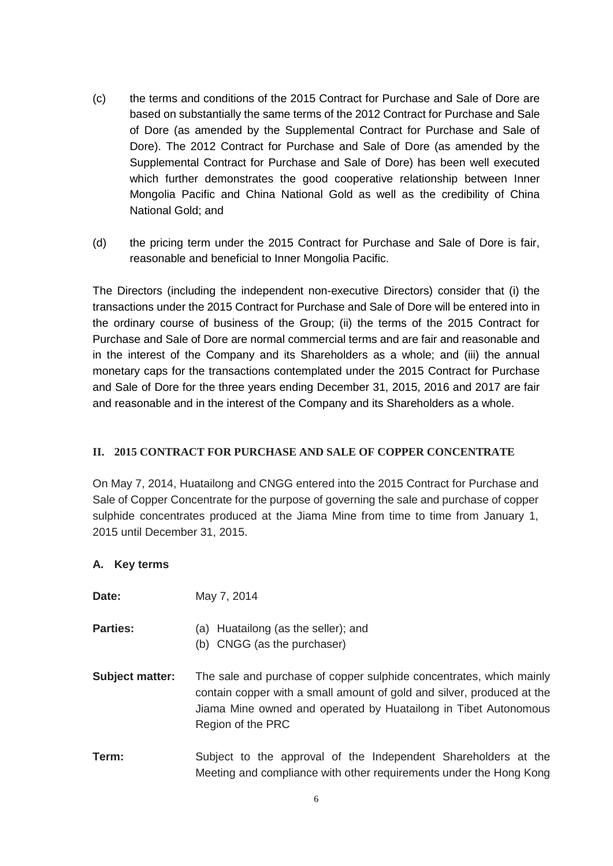- (c) the terms and conditions of the 2015 Contract for Purchase and Sale of Dore are based on substantially the same terms of the 2012 Contract for Purchase and Sale of Dore (as amended by the Supplemental Contract for Purchase and Sale of Dore). The 2012 Contract for Purchase and Sale of Dore (as amended by the Supplemental Contract for Purchase and Sale of Dore) has been well executed which further demonstrates the good cooperative relationship between Inner Mongolia Pacific and China National Gold as well as the credibility of China National Gold; and
- (d) the pricing term under the 2015 Contract for Purchase and Sale of Dore is fair, reasonable and beneficial to Inner Mongolia Pacific.

The Directors (including the independent non-executive Directors) consider that (i) the transactions under the 2015 Contract for Purchase and Sale of Dore will be entered into in the ordinary course of business of the Group; (ii) the terms of the 2015 Contract for Purchase and Sale of Dore are normal commercial terms and are fair and reasonable and in the interest of the Company and its Shareholders as a whole; and (iii) the annual monetary caps for the transactions contemplated under the 2015 Contract for Purchase and Sale of Dore for the three years ending December 31, 2015, 2016 and 2017 are fair and reasonable and in the interest of the Company and its Shareholders as a whole.

#### **II. 2015 CONTRACT FOR PURCHASE AND SALE OF COPPER CONCENTRATE**

On May 7, 2014, Huatailong and CNGG entered into the 2015 Contract for Purchase and Sale of Copper Concentrate for the purpose of governing the sale and purchase of copper sulphide concentrates produced at the Jiama Mine from time to time from January 1, 2015 until December 31, 2015.

#### **A. Key terms**

| Date:                  | May 7, 2014                                                                                                                                                                                                                           |
|------------------------|---------------------------------------------------------------------------------------------------------------------------------------------------------------------------------------------------------------------------------------|
| <b>Parties:</b>        | (a) Huatailong (as the seller); and<br>(b) CNGG (as the purchaser)                                                                                                                                                                    |
| <b>Subject matter:</b> | The sale and purchase of copper sulphide concentrates, which mainly<br>contain copper with a small amount of gold and silver, produced at the<br>Jiama Mine owned and operated by Huatailong in Tibet Autonomous<br>Region of the PRC |
| Term:                  | Subject to the approval of the Independent Shareholders at the<br>Meeting and compliance with other requirements under the Hong Kong                                                                                                  |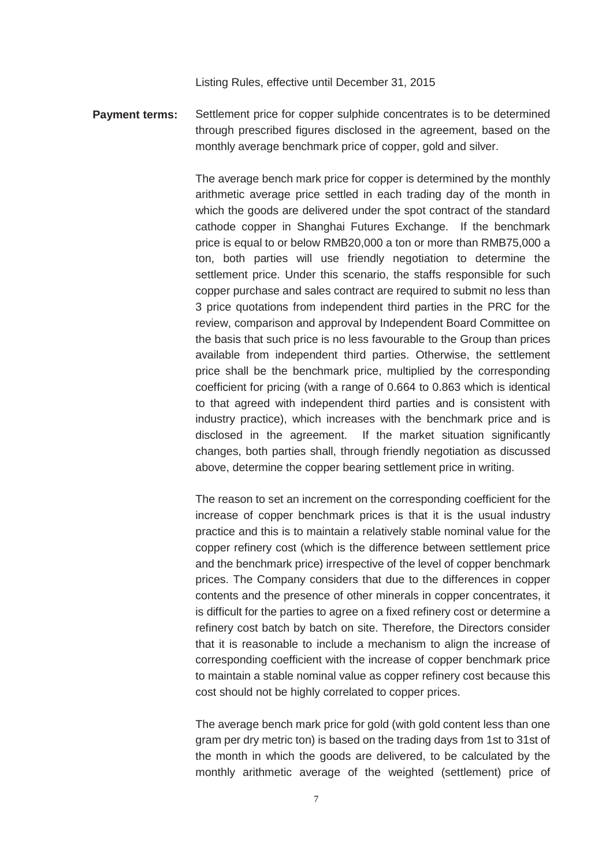Listing Rules, effective until December 31, 2015

**Payment terms:** Settlement price for copper sulphide concentrates is to be determined through prescribed figures disclosed in the agreement, based on the monthly average benchmark price of copper, gold and silver.

> The average bench mark price for copper is determined by the monthly arithmetic average price settled in each trading day of the month in which the goods are delivered under the spot contract of the standard cathode copper in Shanghai Futures Exchange. If the benchmark price is equal to or below RMB20,000 a ton or more than RMB75,000 a ton, both parties will use friendly negotiation to determine the settlement price. Under this scenario, the staffs responsible for such copper purchase and sales contract are required to submit no less than 3 price quotations from independent third parties in the PRC for the review, comparison and approval by Independent Board Committee on the basis that such price is no less favourable to the Group than prices available from independent third parties. Otherwise, the settlement price shall be the benchmark price, multiplied by the corresponding coefficient for pricing (with a range of 0.664 to 0.863 which is identical to that agreed with independent third parties and is consistent with industry practice), which increases with the benchmark price and is disclosed in the agreement. If the market situation significantly changes, both parties shall, through friendly negotiation as discussed above, determine the copper bearing settlement price in writing.

> The reason to set an increment on the corresponding coefficient for the increase of copper benchmark prices is that it is the usual industry practice and this is to maintain a relatively stable nominal value for the copper refinery cost (which is the difference between settlement price and the benchmark price) irrespective of the level of copper benchmark prices. The Company considers that due to the differences in copper contents and the presence of other minerals in copper concentrates, it is difficult for the parties to agree on a fixed refinery cost or determine a refinery cost batch by batch on site. Therefore, the Directors consider that it is reasonable to include a mechanism to align the increase of corresponding coefficient with the increase of copper benchmark price to maintain a stable nominal value as copper refinery cost because this cost should not be highly correlated to copper prices.

> The average bench mark price for gold (with gold content less than one gram per dry metric ton) is based on the trading days from 1st to 31st of the month in which the goods are delivered, to be calculated by the monthly arithmetic average of the weighted (settlement) price of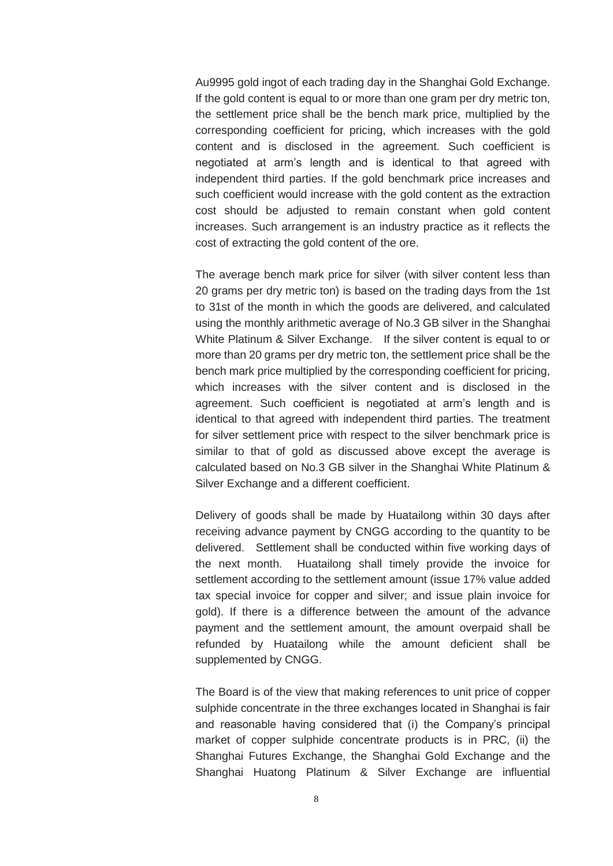Au9995 gold ingot of each trading day in the Shanghai Gold Exchange. If the gold content is equal to or more than one gram per dry metric ton, the settlement price shall be the bench mark price, multiplied by the corresponding coefficient for pricing, which increases with the gold content and is disclosed in the agreement. Such coefficient is negotiated at arm's length and is identical to that agreed with independent third parties. If the gold benchmark price increases and such coefficient would increase with the gold content as the extraction cost should be adjusted to remain constant when gold content increases. Such arrangement is an industry practice as it reflects the cost of extracting the gold content of the ore.

The average bench mark price for silver (with silver content less than 20 grams per dry metric ton) is based on the trading days from the 1st to 31st of the month in which the goods are delivered, and calculated using the monthly arithmetic average of No.3 GB silver in the Shanghai White Platinum & Silver Exchange. If the silver content is equal to or more than 20 grams per dry metric ton, the settlement price shall be the bench mark price multiplied by the corresponding coefficient for pricing, which increases with the silver content and is disclosed in the agreement. Such coefficient is negotiated at arm's length and is identical to that agreed with independent third parties. The treatment for silver settlement price with respect to the silver benchmark price is similar to that of gold as discussed above except the average is calculated based on No.3 GB silver in the Shanghai White Platinum & Silver Exchange and a different coefficient.

Delivery of goods shall be made by Huatailong within 30 days after receiving advance payment by CNGG according to the quantity to be delivered. Settlement shall be conducted within five working days of the next month. Huatailong shall timely provide the invoice for settlement according to the settlement amount (issue 17% value added tax special invoice for copper and silver; and issue plain invoice for gold). If there is a difference between the amount of the advance payment and the settlement amount, the amount overpaid shall be refunded by Huatailong while the amount deficient shall be supplemented by CNGG.

The Board is of the view that making references to unit price of copper sulphide concentrate in the three exchanges located in Shanghai is fair and reasonable having considered that (i) the Company's principal market of copper sulphide concentrate products is in PRC, (ii) the Shanghai Futures Exchange, the Shanghai Gold Exchange and the Shanghai Huatong Platinum & Silver Exchange are influential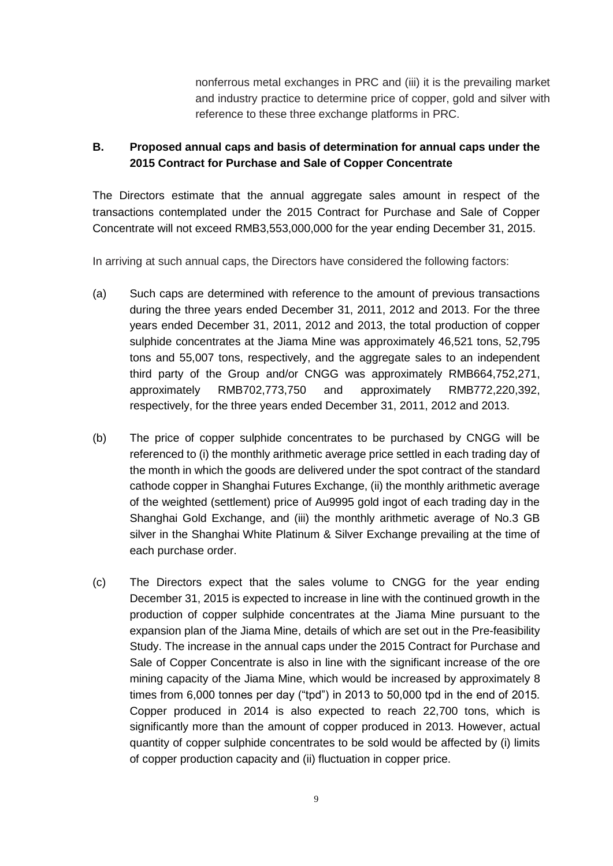nonferrous metal exchanges in PRC and (iii) it is the prevailing market and industry practice to determine price of copper, gold and silver with reference to these three exchange platforms in PRC.

## **B. Proposed annual caps and basis of determination for annual caps under the 2015 Contract for Purchase and Sale of Copper Concentrate**

The Directors estimate that the annual aggregate sales amount in respect of the transactions contemplated under the 2015 Contract for Purchase and Sale of Copper Concentrate will not exceed RMB3,553,000,000 for the year ending December 31, 2015.

In arriving at such annual caps, the Directors have considered the following factors:

- (a) Such caps are determined with reference to the amount of previous transactions during the three years ended December 31, 2011, 2012 and 2013. For the three years ended December 31, 2011, 2012 and 2013, the total production of copper sulphide concentrates at the Jiama Mine was approximately 46,521 tons, 52,795 tons and 55,007 tons, respectively, and the aggregate sales to an independent third party of the Group and/or CNGG was approximately RMB664,752,271, approximately RMB702,773,750 and approximately RMB772,220,392, respectively, for the three years ended December 31, 2011, 2012 and 2013.
- (b) The price of copper sulphide concentrates to be purchased by CNGG will be referenced to (i) the monthly arithmetic average price settled in each trading day of the month in which the goods are delivered under the spot contract of the standard cathode copper in Shanghai Futures Exchange, (ii) the monthly arithmetic average of the weighted (settlement) price of Au9995 gold ingot of each trading day in the Shanghai Gold Exchange, and (iii) the monthly arithmetic average of No.3 GB silver in the Shanghai White Platinum & Silver Exchange prevailing at the time of each purchase order.
- (c) The Directors expect that the sales volume to CNGG for the year ending December 31, 2015 is expected to increase in line with the continued growth in the production of copper sulphide concentrates at the Jiama Mine pursuant to the expansion plan of the Jiama Mine, details of which are set out in the Pre-feasibility Study. The increase in the annual caps under the 2015 Contract for Purchase and Sale of Copper Concentrate is also in line with the significant increase of the ore mining capacity of the Jiama Mine, which would be increased by approximately 8 times from 6,000 tonnes per day ("tpd") in 2013 to 50,000 tpd in the end of 2015. Copper produced in 2014 is also expected to reach 22,700 tons, which is significantly more than the amount of copper produced in 2013. However, actual quantity of copper sulphide concentrates to be sold would be affected by (i) limits of copper production capacity and (ii) fluctuation in copper price.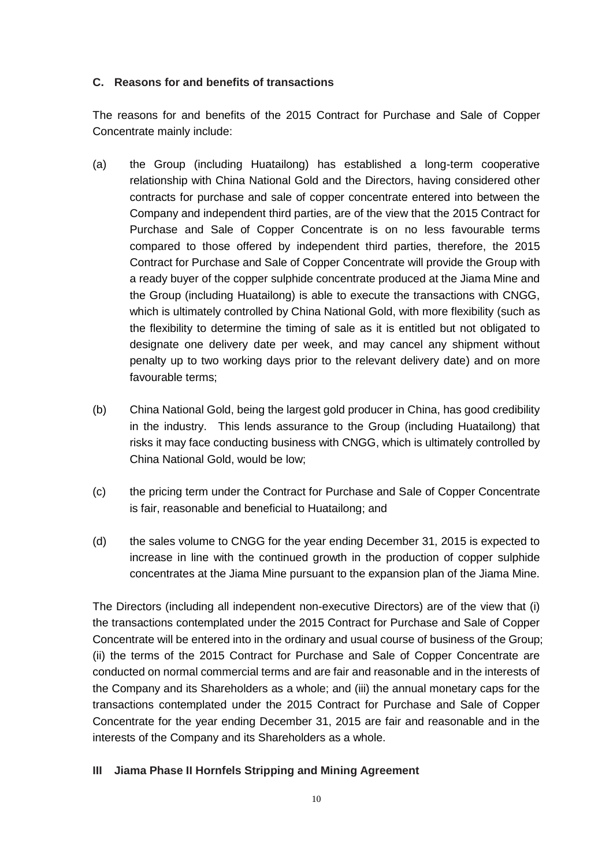#### **C. Reasons for and benefits of transactions**

The reasons for and benefits of the 2015 Contract for Purchase and Sale of Copper Concentrate mainly include:

- (a) the Group (including Huatailong) has established a long-term cooperative relationship with China National Gold and the Directors, having considered other contracts for purchase and sale of copper concentrate entered into between the Company and independent third parties, are of the view that the 2015 Contract for Purchase and Sale of Copper Concentrate is on no less favourable terms compared to those offered by independent third parties, therefore, the 2015 Contract for Purchase and Sale of Copper Concentrate will provide the Group with a ready buyer of the copper sulphide concentrate produced at the Jiama Mine and the Group (including Huatailong) is able to execute the transactions with CNGG, which is ultimately controlled by China National Gold, with more flexibility (such as the flexibility to determine the timing of sale as it is entitled but not obligated to designate one delivery date per week, and may cancel any shipment without penalty up to two working days prior to the relevant delivery date) and on more favourable terms;
- (b) China National Gold, being the largest gold producer in China, has good credibility in the industry. This lends assurance to the Group (including Huatailong) that risks it may face conducting business with CNGG, which is ultimately controlled by China National Gold, would be low;
- (c) the pricing term under the Contract for Purchase and Sale of Copper Concentrate is fair, reasonable and beneficial to Huatailong; and
- (d) the sales volume to CNGG for the year ending December 31, 2015 is expected to increase in line with the continued growth in the production of copper sulphide concentrates at the Jiama Mine pursuant to the expansion plan of the Jiama Mine.

The Directors (including all independent non-executive Directors) are of the view that (i) the transactions contemplated under the 2015 Contract for Purchase and Sale of Copper Concentrate will be entered into in the ordinary and usual course of business of the Group; (ii) the terms of the 2015 Contract for Purchase and Sale of Copper Concentrate are conducted on normal commercial terms and are fair and reasonable and in the interests of the Company and its Shareholders as a whole; and (iii) the annual monetary caps for the transactions contemplated under the 2015 Contract for Purchase and Sale of Copper Concentrate for the year ending December 31, 2015 are fair and reasonable and in the interests of the Company and its Shareholders as a whole.

### **III Jiama Phase II Hornfels Stripping and Mining Agreement**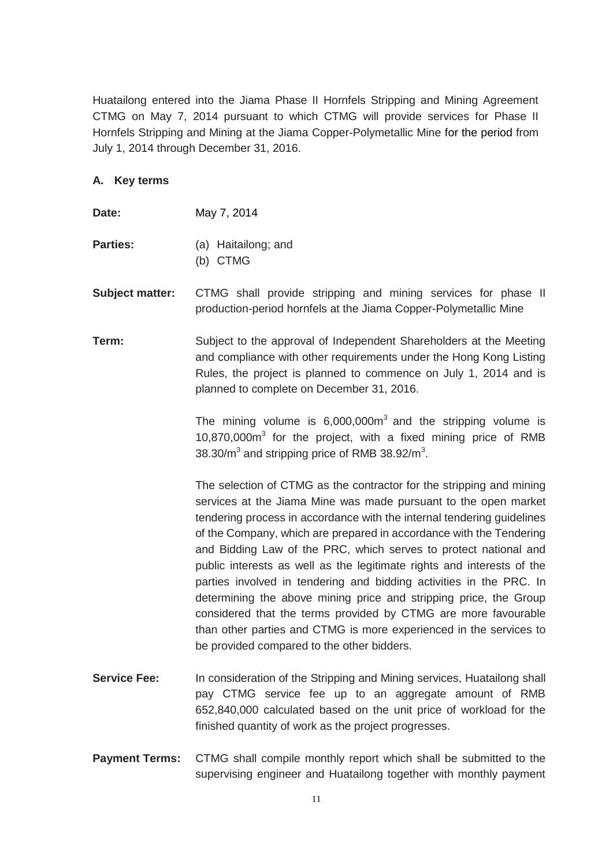Huatailong entered into the Jiama Phase II Hornfels Stripping and Mining Agreement CTMG on May 7, 2014 pursuant to which CTMG will provide services for Phase II Hornfels Stripping and Mining at the Jiama Copper-Polymetallic Mine for the period from July 1, 2014 through December 31, 2016.

#### **A. Key terms**

| Date: | May 7, 2014 |  |
|-------|-------------|--|
|       |             |  |

- **Parties:** (a) Haitailong; and (b) CTMG
- **Subject matter:** CTMG shall provide stripping and mining services for phase II production-period hornfels at the Jiama Copper-Polymetallic Mine
- **Term:** Subject to the approval of Independent Shareholders at the Meeting and compliance with other requirements under the Hong Kong Listing Rules, the project is planned to commence on July 1, 2014 and is planned to complete on December 31, 2016.

The mining volume is  $6,000,000m<sup>3</sup>$  and the stripping volume is 10,870,000m<sup>3</sup> for the project, with a fixed mining price of RMB 38.30/ $m^3$  and stripping price of RMB 38.92/ $m^3$ .

The selection of CTMG as the contractor for the stripping and mining services at the Jiama Mine was made pursuant to the open market tendering process in accordance with the internal tendering guidelines of the Company, which are prepared in accordance with the Tendering and Bidding Law of the PRC, which serves to protect national and public interests as well as the legitimate rights and interests of the parties involved in tendering and bidding activities in the PRC. In determining the above mining price and stripping price, the Group considered that the terms provided by CTMG are more favourable than other parties and CTMG is more experienced in the services to be provided compared to the other bidders.

- **Service Fee:** In consideration of the Stripping and Mining services, Huatailong shall pay CTMG service fee up to an aggregate amount of RMB 652,840,000 calculated based on the unit price of workload for the finished quantity of work as the project progresses.
- **Payment Terms:** CTMG shall compile monthly report which shall be submitted to the supervising engineer and Huatailong together with monthly payment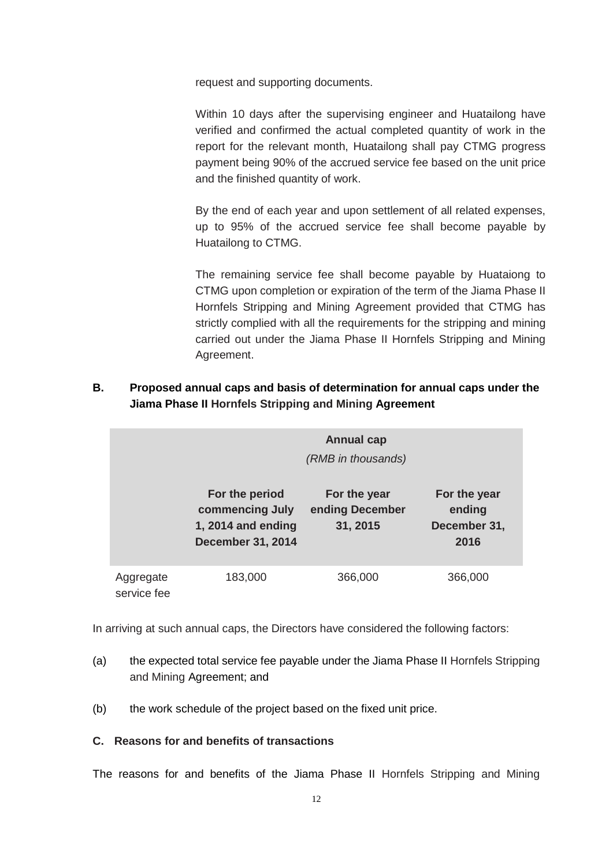request and supporting documents.

Within 10 days after the supervising engineer and Huatailong have verified and confirmed the actual completed quantity of work in the report for the relevant month, Huatailong shall pay CTMG progress payment being 90% of the accrued service fee based on the unit price and the finished quantity of work.

By the end of each year and upon settlement of all related expenses, up to 95% of the accrued service fee shall become payable by Huatailong to CTMG.

The remaining service fee shall become payable by Huataiong to CTMG upon completion or expiration of the term of the Jiama Phase II Hornfels Stripping and Mining Agreement provided that CTMG has strictly complied with all the requirements for the stripping and mining carried out under the Jiama Phase II Hornfels Stripping and Mining Agreement.

**B. Proposed annual caps and basis of determination for annual caps under the Jiama Phase II Hornfels Stripping and Mining Agreement**

|                          |                                                                                     | <b>Annual cap</b><br>(RMB in thousands)     |                                                |
|--------------------------|-------------------------------------------------------------------------------------|---------------------------------------------|------------------------------------------------|
|                          | For the period<br>commencing July<br>1, 2014 and ending<br><b>December 31, 2014</b> | For the year<br>ending December<br>31, 2015 | For the year<br>ending<br>December 31,<br>2016 |
| Aggregate<br>service fee | 183,000                                                                             | 366,000                                     | 366,000                                        |

In arriving at such annual caps, the Directors have considered the following factors:

- (a) the expected total service fee payable under the Jiama Phase II Hornfels Stripping and Mining Agreement; and
- (b) the work schedule of the project based on the fixed unit price.

#### **C. Reasons for and benefits of transactions**

The reasons for and benefits of the Jiama Phase II Hornfels Stripping and Mining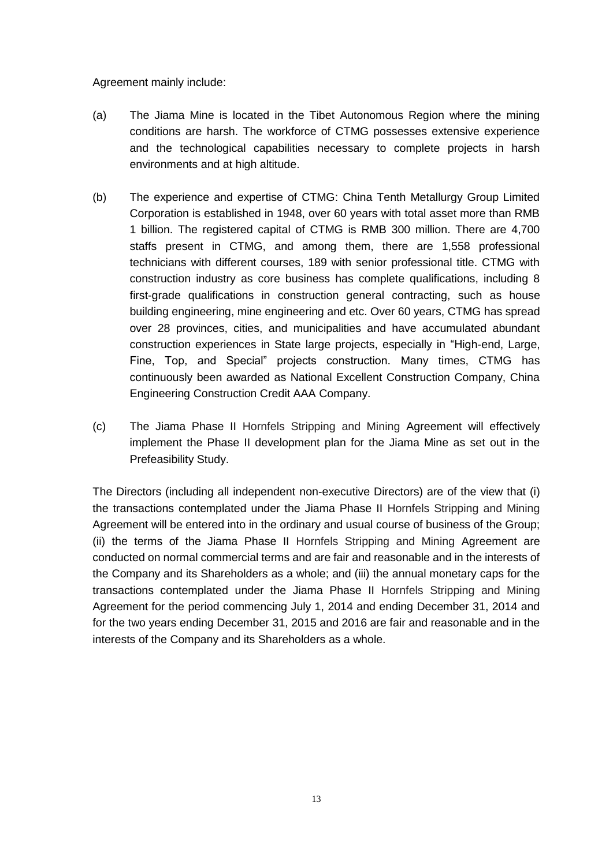Agreement mainly include:

- (a) The Jiama Mine is located in the Tibet Autonomous Region where the mining conditions are harsh. The workforce of CTMG possesses extensive experience and the technological capabilities necessary to complete projects in harsh environments and at high altitude.
- (b) The experience and expertise of CTMG: China Tenth Metallurgy Group Limited Corporation is established in 1948, over 60 years with total asset more than RMB 1 billion. The registered capital of CTMG is RMB 300 million. There are 4,700 staffs present in CTMG, and among them, there are 1,558 professional technicians with different courses, 189 with senior professional title. CTMG with construction industry as core business has complete qualifications, including 8 first-grade qualifications in construction general contracting, such as house building engineering, mine engineering and etc. Over 60 years, CTMG has spread over 28 provinces, cities, and municipalities and have accumulated abundant construction experiences in State large projects, especially in "High-end, Large, Fine, Top, and Special" projects construction. Many times, CTMG has continuously been awarded as National Excellent Construction Company, China Engineering Construction Credit AAA Company.
- (c) The Jiama Phase II Hornfels Stripping and Mining Agreement will effectively implement the Phase II development plan for the Jiama Mine as set out in the Prefeasibility Study.

The Directors (including all independent non-executive Directors) are of the view that (i) the transactions contemplated under the Jiama Phase II Hornfels Stripping and Mining Agreement will be entered into in the ordinary and usual course of business of the Group; (ii) the terms of the Jiama Phase II Hornfels Stripping and Mining Agreement are conducted on normal commercial terms and are fair and reasonable and in the interests of the Company and its Shareholders as a whole; and (iii) the annual monetary caps for the transactions contemplated under the Jiama Phase II Hornfels Stripping and Mining Agreement for the period commencing July 1, 2014 and ending December 31, 2014 and for the two years ending December 31, 2015 and 2016 are fair and reasonable and in the interests of the Company and its Shareholders as a whole.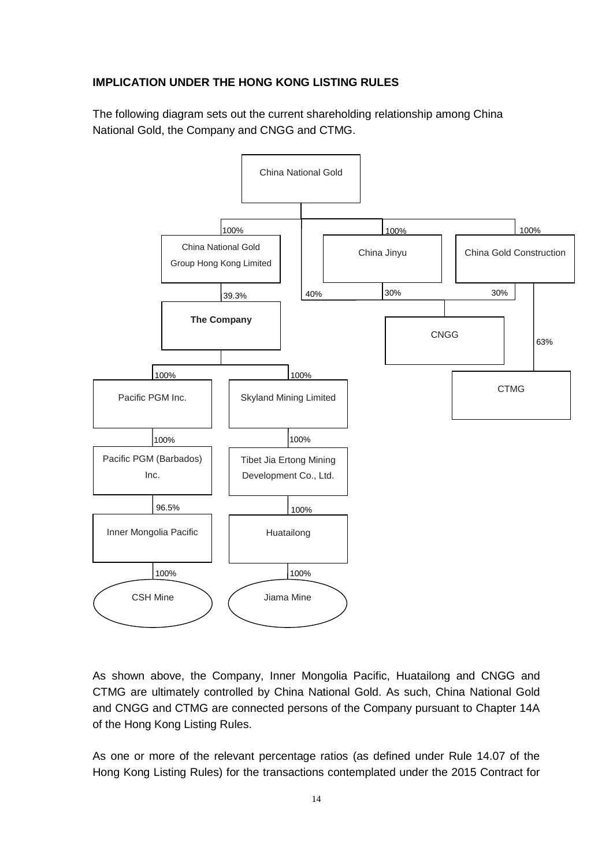## **IMPLICATION UNDER THE HONG KONG LISTING RULES**

The following diagram sets out the current shareholding relationship among China National Gold, the Company and CNGG and CTMG.



As shown above, the Company, Inner Mongolia Pacific, Huatailong and CNGG and CTMG are ultimately controlled by China National Gold. As such, China National Gold and CNGG and CTMG are connected persons of the Company pursuant to Chapter 14A of the Hong Kong Listing Rules.

As one or more of the relevant percentage ratios (as defined under Rule 14.07 of the Hong Kong Listing Rules) for the transactions contemplated under the 2015 Contract for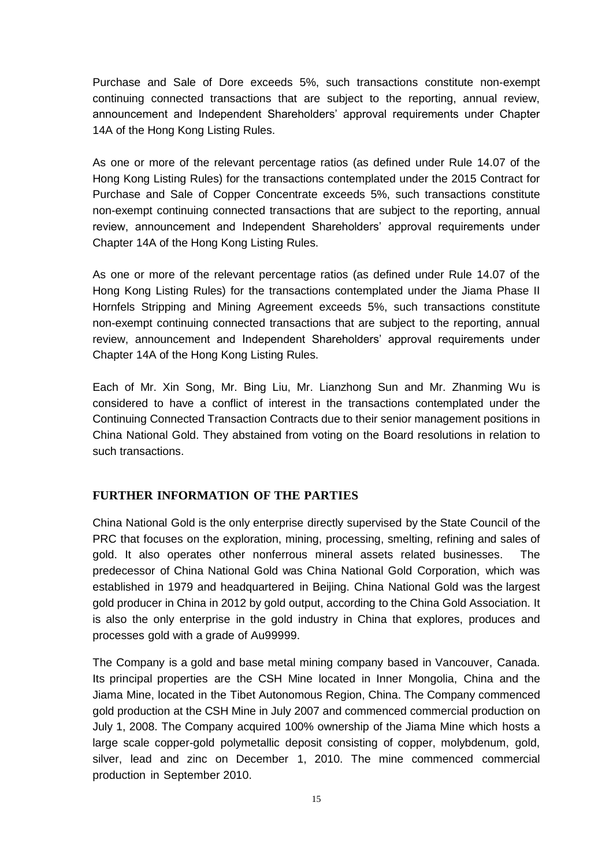Purchase and Sale of Dore exceeds 5%, such transactions constitute non-exempt continuing connected transactions that are subject to the reporting, annual review, announcement and Independent Shareholders' approval requirements under Chapter 14A of the Hong Kong Listing Rules.

As one or more of the relevant percentage ratios (as defined under Rule 14.07 of the Hong Kong Listing Rules) for the transactions contemplated under the 2015 Contract for Purchase and Sale of Copper Concentrate exceeds 5%, such transactions constitute non-exempt continuing connected transactions that are subject to the reporting, annual review, announcement and Independent Shareholders' approval requirements under Chapter 14A of the Hong Kong Listing Rules.

As one or more of the relevant percentage ratios (as defined under Rule 14.07 of the Hong Kong Listing Rules) for the transactions contemplated under the Jiama Phase II Hornfels Stripping and Mining Agreement exceeds 5%, such transactions constitute non-exempt continuing connected transactions that are subject to the reporting, annual review, announcement and Independent Shareholders' approval requirements under Chapter 14A of the Hong Kong Listing Rules.

Each of Mr. Xin Song, Mr. Bing Liu, Mr. Lianzhong Sun and Mr. Zhanming Wu is considered to have a conflict of interest in the transactions contemplated under the Continuing Connected Transaction Contracts due to their senior management positions in China National Gold. They abstained from voting on the Board resolutions in relation to such transactions.

#### **FURTHER INFORMATION OF THE PARTIES**

China National Gold is the only enterprise directly supervised by the State Council of the PRC that focuses on the exploration, mining, processing, smelting, refining and sales of gold. It also operates other nonferrous mineral assets related businesses. The predecessor of China National Gold was China National Gold Corporation, which was established in 1979 and headquartered in Beijing. China National Gold was the largest gold producer in China in 2012 by gold output, according to the China Gold Association. It is also the only enterprise in the gold industry in China that explores, produces and processes gold with a grade of Au99999.

The Company is a gold and base metal mining company based in Vancouver, Canada. Its principal properties are the CSH Mine located in Inner Mongolia, China and the Jiama Mine, located in the Tibet Autonomous Region, China. The Company commenced gold production at the CSH Mine in July 2007 and commenced commercial production on July 1, 2008. The Company acquired 100% ownership of the Jiama Mine which hosts a large scale copper-gold polymetallic deposit consisting of copper, molybdenum, gold, silver, lead and zinc on December 1, 2010. The mine commenced commercial production in September 2010.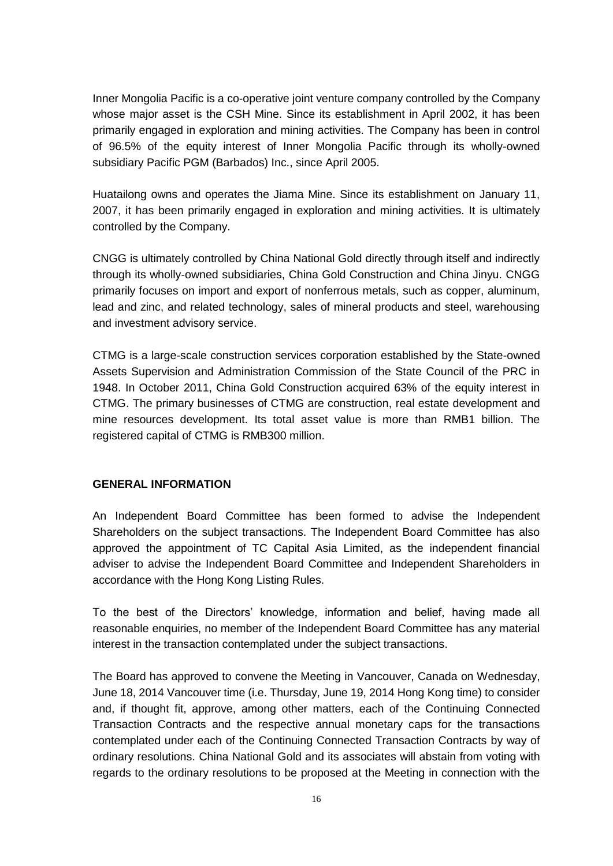Inner Mongolia Pacific is a co-operative joint venture company controlled by the Company whose major asset is the CSH Mine. Since its establishment in April 2002, it has been primarily engaged in exploration and mining activities. The Company has been in control of 96.5% of the equity interest of Inner Mongolia Pacific through its wholly-owned subsidiary Pacific PGM (Barbados) Inc., since April 2005.

Huatailong owns and operates the Jiama Mine. Since its establishment on January 11, 2007, it has been primarily engaged in exploration and mining activities. It is ultimately controlled by the Company.

CNGG is ultimately controlled by China National Gold directly through itself and indirectly through its wholly-owned subsidiaries, China Gold Construction and China Jinyu. CNGG primarily focuses on import and export of nonferrous metals, such as copper, aluminum, lead and zinc, and related technology, sales of mineral products and steel, warehousing and investment advisory service.

CTMG is a large-scale construction services corporation established by the State-owned Assets Supervision and Administration Commission of the State Council of the PRC in 1948. In October 2011, China Gold Construction acquired 63% of the equity interest in CTMG. The primary businesses of CTMG are construction, real estate development and mine resources development. Its total asset value is more than RMB1 billion. The registered capital of CTMG is RMB300 million.

#### **GENERAL INFORMATION**

An Independent Board Committee has been formed to advise the Independent Shareholders on the subject transactions. The Independent Board Committee has also approved the appointment of TC Capital Asia Limited, as the independent financial adviser to advise the Independent Board Committee and Independent Shareholders in accordance with the Hong Kong Listing Rules.

To the best of the Directors' knowledge, information and belief, having made all reasonable enquiries, no member of the Independent Board Committee has any material interest in the transaction contemplated under the subject transactions.

The Board has approved to convene the Meeting in Vancouver, Canada on Wednesday, June 18, 2014 Vancouver time (i.e. Thursday, June 19, 2014 Hong Kong time) to consider and, if thought fit, approve, among other matters, each of the Continuing Connected Transaction Contracts and the respective annual monetary caps for the transactions contemplated under each of the Continuing Connected Transaction Contracts by way of ordinary resolutions. China National Gold and its associates will abstain from voting with regards to the ordinary resolutions to be proposed at the Meeting in connection with the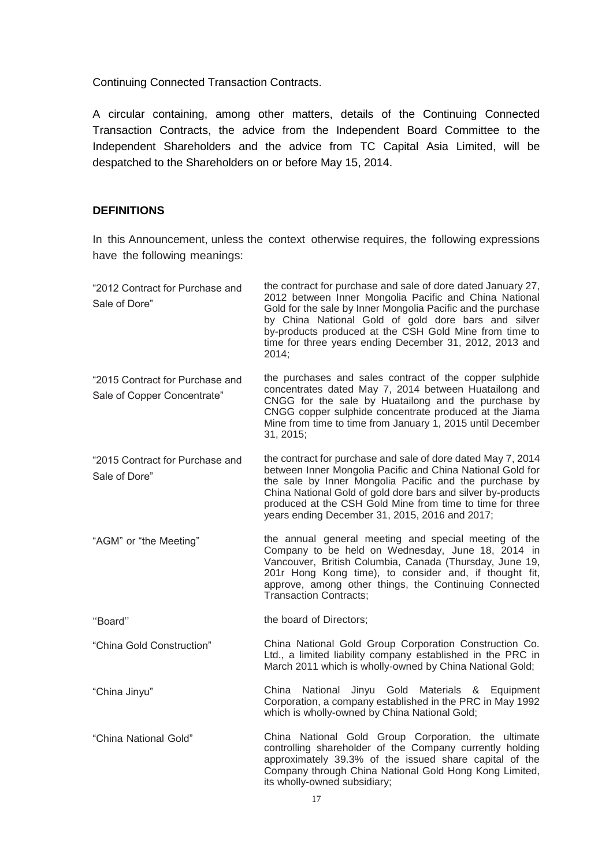Continuing Connected Transaction Contracts.

A circular containing, among other matters, details of the Continuing Connected Transaction Contracts, the advice from the Independent Board Committee to the Independent Shareholders and the advice from TC Capital Asia Limited, will be despatched to the Shareholders on or before May 15, 2014.

#### **DEFINITIONS**

In this Announcement, unless the context otherwise requires, the following expressions have the following meanings:

| "2012 Contract for Purchase and<br>Sale of Dore"               | the contract for purchase and sale of dore dated January 27,<br>2012 between Inner Mongolia Pacific and China National<br>Gold for the sale by Inner Mongolia Pacific and the purchase<br>by China National Gold of gold dore bars and silver<br>by-products produced at the CSH Gold Mine from time to<br>time for three years ending December 31, 2012, 2013 and<br>2014; |
|----------------------------------------------------------------|-----------------------------------------------------------------------------------------------------------------------------------------------------------------------------------------------------------------------------------------------------------------------------------------------------------------------------------------------------------------------------|
| "2015 Contract for Purchase and<br>Sale of Copper Concentrate" | the purchases and sales contract of the copper sulphide<br>concentrates dated May 7, 2014 between Huatailong and<br>CNGG for the sale by Huatailong and the purchase by<br>CNGG copper sulphide concentrate produced at the Jiama<br>Mine from time to time from January 1, 2015 until December<br>31, 2015;                                                                |
| "2015 Contract for Purchase and<br>Sale of Dore"               | the contract for purchase and sale of dore dated May 7, 2014<br>between Inner Mongolia Pacific and China National Gold for<br>the sale by Inner Mongolia Pacific and the purchase by<br>China National Gold of gold dore bars and silver by-products<br>produced at the CSH Gold Mine from time to time for three<br>years ending December 31, 2015, 2016 and 2017;         |
| "AGM" or "the Meeting"                                         | the annual general meeting and special meeting of the<br>Company to be held on Wednesday, June 18, 2014 in<br>Vancouver, British Columbia, Canada (Thursday, June 19,<br>201r Hong Kong time), to consider and, if thought fit,<br>approve, among other things, the Continuing Connected<br><b>Transaction Contracts;</b>                                                   |
| "Board"                                                        | the board of Directors;                                                                                                                                                                                                                                                                                                                                                     |
| "China Gold Construction"                                      | China National Gold Group Corporation Construction Co.<br>Ltd., a limited liability company established in the PRC in<br>March 2011 which is wholly-owned by China National Gold;                                                                                                                                                                                           |
| "China Jinyu"                                                  | China National Jinyu Gold Materials & Equipment<br>Corporation, a company established in the PRC in May 1992<br>which is wholly-owned by China National Gold;                                                                                                                                                                                                               |
| "China National Gold"                                          | China National Gold Group Corporation, the ultimate<br>controlling shareholder of the Company currently holding<br>approximately 39.3% of the issued share capital of the<br>Company through China National Gold Hong Kong Limited,<br>its wholly-owned subsidiary;                                                                                                         |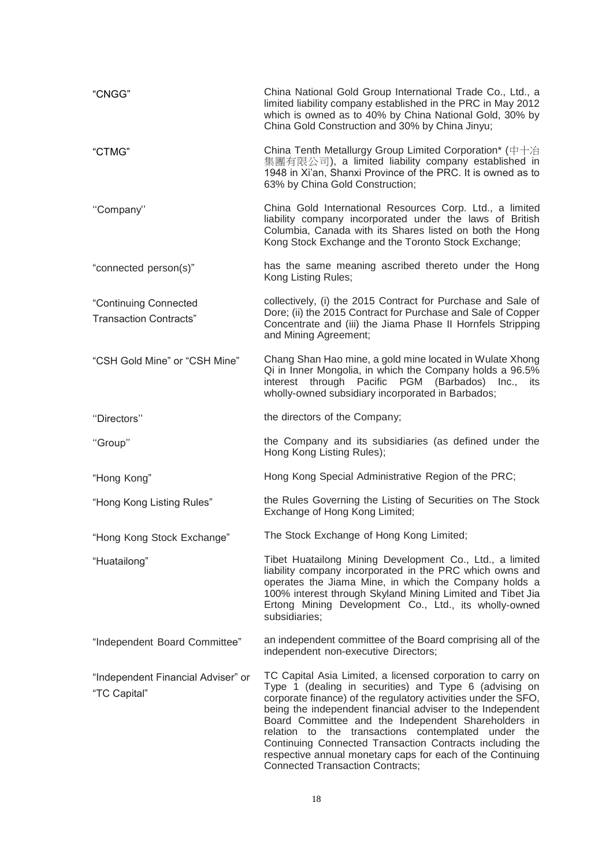| "CNGG"                                                 | China National Gold Group International Trade Co., Ltd., a<br>limited liability company established in the PRC in May 2012<br>which is owned as to 40% by China National Gold, 30% by<br>China Gold Construction and 30% by China Jinyu;                                                                                                                                                                                                                                                                                                 |
|--------------------------------------------------------|------------------------------------------------------------------------------------------------------------------------------------------------------------------------------------------------------------------------------------------------------------------------------------------------------------------------------------------------------------------------------------------------------------------------------------------------------------------------------------------------------------------------------------------|
| "CTMG"                                                 | China Tenth Metallurgy Group Limited Corporation* (中十冶<br>集團有限公司), a limited liability company established in<br>1948 in Xi'an, Shanxi Province of the PRC. It is owned as to<br>63% by China Gold Construction;                                                                                                                                                                                                                                                                                                                         |
| "Company"                                              | China Gold International Resources Corp. Ltd., a limited<br>liability company incorporated under the laws of British<br>Columbia, Canada with its Shares listed on both the Hong<br>Kong Stock Exchange and the Toronto Stock Exchange;                                                                                                                                                                                                                                                                                                  |
| "connected person(s)"                                  | has the same meaning ascribed thereto under the Hong<br>Kong Listing Rules;                                                                                                                                                                                                                                                                                                                                                                                                                                                              |
| "Continuing Connected<br><b>Transaction Contracts"</b> | collectively, (i) the 2015 Contract for Purchase and Sale of<br>Dore; (ii) the 2015 Contract for Purchase and Sale of Copper<br>Concentrate and (iii) the Jiama Phase II Hornfels Stripping<br>and Mining Agreement;                                                                                                                                                                                                                                                                                                                     |
| "CSH Gold Mine" or "CSH Mine"                          | Chang Shan Hao mine, a gold mine located in Wulate Xhong<br>Qi in Inner Mongolia, in which the Company holds a 96.5%<br>interest through Pacific PGM (Barbados) Inc.,<br>its<br>wholly-owned subsidiary incorporated in Barbados;                                                                                                                                                                                                                                                                                                        |
| "Directors"                                            | the directors of the Company;                                                                                                                                                                                                                                                                                                                                                                                                                                                                                                            |
| "Group"                                                | the Company and its subsidiaries (as defined under the<br>Hong Kong Listing Rules);                                                                                                                                                                                                                                                                                                                                                                                                                                                      |
| "Hong Kong"                                            | Hong Kong Special Administrative Region of the PRC;                                                                                                                                                                                                                                                                                                                                                                                                                                                                                      |
| "Hong Kong Listing Rules"                              | the Rules Governing the Listing of Securities on The Stock<br>Exchange of Hong Kong Limited;                                                                                                                                                                                                                                                                                                                                                                                                                                             |
| "Hong Kong Stock Exchange"                             | The Stock Exchange of Hong Kong Limited;                                                                                                                                                                                                                                                                                                                                                                                                                                                                                                 |
| "Huatailong"                                           | Tibet Huatailong Mining Development Co., Ltd., a limited<br>liability company incorporated in the PRC which owns and<br>operates the Jiama Mine, in which the Company holds a<br>100% interest through Skyland Mining Limited and Tibet Jia<br>Ertong Mining Development Co., Ltd., its wholly-owned<br>subsidiaries;                                                                                                                                                                                                                    |
| "Independent Board Committee"                          | an independent committee of the Board comprising all of the<br>independent non-executive Directors;                                                                                                                                                                                                                                                                                                                                                                                                                                      |
| "Independent Financial Adviser" or<br>"TC Capital"     | TC Capital Asia Limited, a licensed corporation to carry on<br>Type 1 (dealing in securities) and Type 6 (advising on<br>corporate finance) of the regulatory activities under the SFO,<br>being the independent financial adviser to the Independent<br>Board Committee and the Independent Shareholders in<br>relation to the transactions contemplated under the<br>Continuing Connected Transaction Contracts including the<br>respective annual monetary caps for each of the Continuing<br><b>Connected Transaction Contracts;</b> |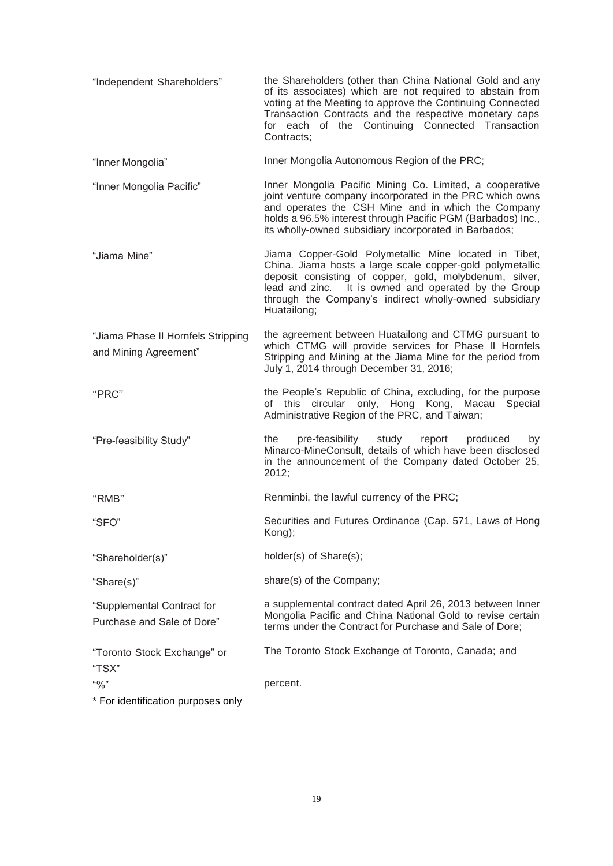|                                                             | of its associates) which are not required to abstain from<br>voting at the Meeting to approve the Continuing Connected<br>Transaction Contracts and the respective monetary caps<br>for each of the Continuing Connected Transaction<br>Contracts;                                                             |
|-------------------------------------------------------------|----------------------------------------------------------------------------------------------------------------------------------------------------------------------------------------------------------------------------------------------------------------------------------------------------------------|
| "Inner Mongolia"                                            | Inner Mongolia Autonomous Region of the PRC;                                                                                                                                                                                                                                                                   |
| "Inner Mongolia Pacific"                                    | Inner Mongolia Pacific Mining Co. Limited, a cooperative<br>joint venture company incorporated in the PRC which owns<br>and operates the CSH Mine and in which the Company<br>holds a 96.5% interest through Pacific PGM (Barbados) Inc.,<br>its wholly-owned subsidiary incorporated in Barbados;             |
| "Jiama Mine"                                                | Jiama Copper-Gold Polymetallic Mine located in Tibet,<br>China. Jiama hosts a large scale copper-gold polymetallic<br>deposit consisting of copper, gold, molybdenum, silver,<br>lead and zinc. It is owned and operated by the Group<br>through the Company's indirect wholly-owned subsidiary<br>Huatailong; |
| "Jiama Phase II Hornfels Stripping<br>and Mining Agreement" | the agreement between Huatailong and CTMG pursuant to<br>which CTMG will provide services for Phase II Hornfels<br>Stripping and Mining at the Jiama Mine for the period from<br>July 1, 2014 through December 31, 2016;                                                                                       |
| "PRC"                                                       | the People's Republic of China, excluding, for the purpose<br>of this circular only, Hong Kong, Macau<br>Special<br>Administrative Region of the PRC, and Taiwan;                                                                                                                                              |
| "Pre-feasibility Study"                                     | pre-feasibility<br>study<br>the<br>report<br>produced<br>by<br>Minarco-MineConsult, details of which have been disclosed<br>in the announcement of the Company dated October 25,<br>2012;                                                                                                                      |
| "RMB"                                                       | Renminbi, the lawful currency of the PRC;                                                                                                                                                                                                                                                                      |
| "SFO"                                                       | Securities and Futures Ordinance (Cap. 571, Laws of Hong<br>Kong);                                                                                                                                                                                                                                             |
| "Shareholder(s)"                                            | holder(s) of Share(s);                                                                                                                                                                                                                                                                                         |
| "Share(s)"                                                  | share(s) of the Company;                                                                                                                                                                                                                                                                                       |
| "Supplemental Contract for<br>Purchase and Sale of Dore"    | a supplemental contract dated April 26, 2013 between Inner<br>Mongolia Pacific and China National Gold to revise certain<br>terms under the Contract for Purchase and Sale of Dore;                                                                                                                            |
| "Toronto Stock Exchange" or<br>"TSX"                        | The Toronto Stock Exchange of Toronto, Canada; and                                                                                                                                                                                                                                                             |
| $``\%"$<br>* For identification purposes only               | percent.                                                                                                                                                                                                                                                                                                       |
|                                                             |                                                                                                                                                                                                                                                                                                                |

"Independent Shareholders" the Shareholders (other than China National Gold and any